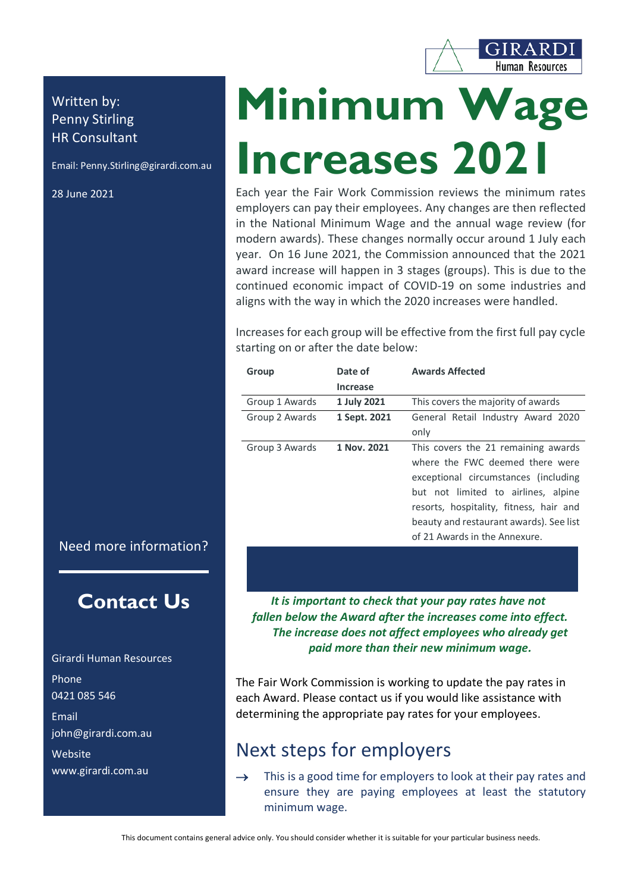

# Written by: Penny Stirling HR Consultant

Email: Penny.Stirling@girardi.com.au

28 June 2021

# **Minimum Wage Increases 2021**

Each year the Fair Work Commission reviews the minimum rates employers can pay their employees. Any changes are then reflected in the National Minimum Wage and the annual wage review (for modern awards). These changes normally occur around 1 July each year. On 16 June 2021, the Commission announced that the 2021 award increase will happen in 3 stages (groups). This is due to the continued economic impact of COVID-19 on some industries and aligns with the way in which the 2020 increases were handled.

Increases for each group will be effective from the first full pay cycle starting on or after the date below:

| Group          | Date of         | <b>Awards Affected</b>                  |
|----------------|-----------------|-----------------------------------------|
|                | <b>Increase</b> |                                         |
| Group 1 Awards | 1 July 2021     | This covers the majority of awards      |
| Group 2 Awards | 1 Sept. 2021    | General Retail Industry Award 2020      |
|                |                 | only                                    |
| Group 3 Awards | 1 Nov. 2021     | This covers the 21 remaining awards     |
|                |                 | where the FWC deemed there were         |
|                |                 | exceptional circumstances (including    |
|                |                 | but not limited to airlines, alpine     |
|                |                 | resorts, hospitality, fitness, hair and |
|                |                 | beauty and restaurant awards). See list |
|                |                 | of 21 Awards in the Annexure.           |

## Need more information?

# **Contact Us**

Girardi Human Resources Phone 0421 085 546 Email john@girardi.com.au Website www.girardi.com.au

*It is important to check that your pay rates have not fallen below the Award after the increases come into effect. The increase does not affect employees who already get paid more than their new minimum wage.*

The Fair Work Commission is working to update the pay rates in each Award. Please contact us if you would like assistance with determining the appropriate pay rates for your employees.

# Next steps for employers

 $\rightarrow$  This is a good time for employers to look at their pay rates and ensure they are paying employees at least the statutory minimum wage.